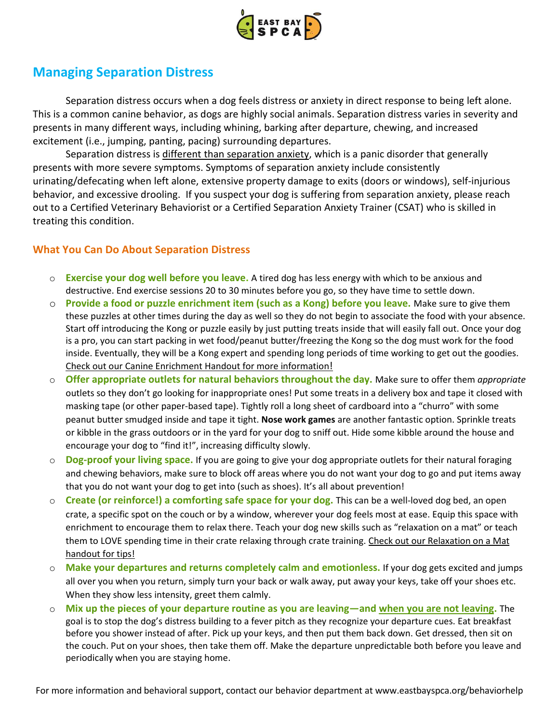

## **Managing Separation Distress**

Separation distress occurs when a dog feels distress or anxiety in direct response to being left alone. This is a common canine behavior, as dogs are highly social animals. Separation distress varies in severity and presents in many different ways, including whining, barking after departure, chewing, and increased excitement (i.e., jumping, panting, pacing) surrounding departures.

Separation distress is different than separation anxiety, which is a panic disorder that generally presents with more severe symptoms. Symptoms of separation anxiety include consistently urinating/defecating when left alone, extensive property damage to exits (doors or windows), self-injurious behavior, and excessive drooling. If you suspect your dog is suffering from separation anxiety, please reach out to a Certified Veterinary Behaviorist or a Certified Separation Anxiety Trainer (CSAT) who is skilled in treating this condition.

## **What You Can Do About Separation Distress**

- o **Exercise your dog well before you leave.** A tired dog has less energy with which to be anxious and destructive. End exercise sessions 20 to 30 minutes before you go, so they have time to settle down.
- o **Provide a food or puzzle enrichment item (such as a Kong) before you leave.** Make sure to give them these puzzles at other times during the day as well so they do not begin to associate the food with your absence. Start off introducing the Kong or puzzle easily by just putting treats inside that will easily fall out. Once your dog is a pro, you can start packing in wet food/peanut butter/freezing the Kong so the dog must work for the food inside. Eventually, they will be a Kong expert and spending long periods of time working to get out the goodies. Check out our Canine Enrichment Handout for more information!
- o **Offer appropriate outlets for natural behaviors throughout the day.** Make sure to offer them *appropriate* outlets so they don't go looking for inappropriate ones! Put some treats in a delivery box and tape it closed with masking tape (or other paper-based tape). Tightly roll a long sheet of cardboard into a "churro" with some peanut butter smudged inside and tape it tight. **Nose work games** are another fantastic option. Sprinkle treats or kibble in the grass outdoors or in the yard for your dog to sniff out. Hide some kibble around the house and encourage your dog to "find it!", increasing difficulty slowly.
- o **Dog-proof your living space.** If you are going to give your dog appropriate outlets for their natural foraging and chewing behaviors, make sure to block off areas where you do not want your dog to go and put items away that you do not want your dog to get into (such as shoes). It's all about prevention!
- o **Create (or reinforce!) a comforting safe space for your dog.** This can be a well-loved dog bed, an open crate, a specific spot on the couch or by a window, wherever your dog feels most at ease. Equip this space with enrichment to encourage them to relax there. Teach your dog new skills such as "relaxation on a mat" or teach them to LOVE spending time in their crate relaxing through crate training. Check out our Relaxation on a Mat handout for tips!
- o **Make your departures and returns completely calm and emotionless.** If your dog gets excited and jumps all over you when you return, simply turn your back or walk away, put away your keys, take off your shoes etc. When they show less intensity, greet them calmly.
- o **Mix up the pieces of your departure routine as you are leaving—and when you are not leaving.** The goal is to stop the dog's distress building to a fever pitch as they recognize your departure cues. Eat breakfast before you shower instead of after. Pick up your keys, and then put them back down. Get dressed, then sit on the couch. Put on your shoes, then take them off. Make the departure unpredictable both before you leave and periodically when you are staying home.

For more information and behavioral support, contact our behavior department at www.eastbayspca.org/behaviorhelp